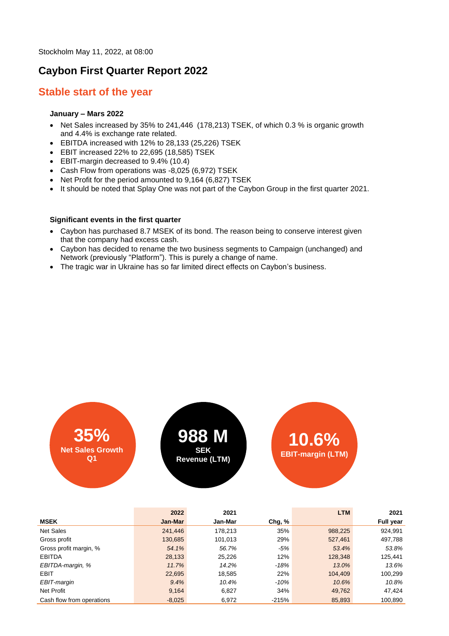Stockholm May 11, 2022, at 08:00

## **Caybon First Quarter Report 2022**

### **Stable start of the year**

### **January – Mars 2022**

- Net Sales increased by 35% to 241,446 (178,213) TSEK, of which 0.3 % is organic growth and 4.4% is exchange rate related.
- EBITDA increased with 12% to 28,133 (25,226) TSEK
- EBIT increased 22% to 22,695 (18,585) TSEK
- EBIT-margin decreased to 9.4% (10.4)
- Cash Flow from operations was -8,025 (6,972) TSEK
- Net Profit for the period amounted to 9,164 (6,827) TSEK
- It should be noted that Splay One was not part of the Caybon Group in the first quarter 2021.

#### **Significant events in the first quarter**

- Caybon has purchased 8.7 MSEK of its bond. The reason being to conserve interest given that the company had excess cash.
- Caybon has decided to rename the two business segments to Campaign (unchanged) and Network (previously "Platform"). This is purely a change of name.
- The tragic war in Ukraine has so far limited direct effects on Caybon's business.



|                           | 2022     | 2021    |         | <b>LTM</b> | 2021             |
|---------------------------|----------|---------|---------|------------|------------------|
| <b>MSEK</b>               | Jan-Mar  | Jan-Mar | Chg, %  |            | <b>Full year</b> |
| <b>Net Sales</b>          | 241,446  | 178,213 | 35%     | 988,225    | 924,991          |
| Gross profit              | 130,685  | 101,013 | 29%     | 527,461    | 497,788          |
| Gross profit margin, %    | 54.1%    | 56.7%   | $-5%$   | 53.4%      | 53.8%            |
| <b>EBITDA</b>             | 28,133   | 25,226  | 12%     | 128,348    | 125,441          |
| EBITDA-margin, %          | 11.7%    | 14.2%   | -18%    | 13.0%      | 13.6%            |
| <b>EBIT</b>               | 22,695   | 18,585  | 22%     | 104,409    | 100,299          |
| EBIT-margin               | 9.4%     | 10.4%   | $-10%$  | 10.6%      | 10.8%            |
| Net Profit                | 9,164    | 6,827   | 34%     | 49,762     | 47,424           |
| Cash flow from operations | $-8,025$ | 6,972   | $-215%$ | 85,893     | 100,890          |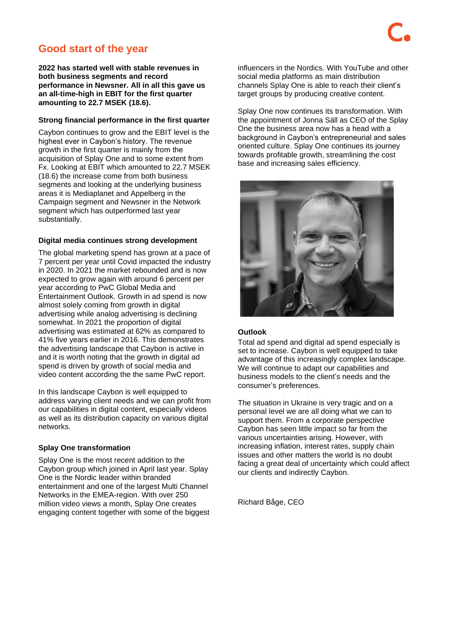# **Good start of the year**

**2022 has started well with stable revenues in both business segments and record performance in Newsner. All in all this gave us an all-time-high in EBIT for the first quarter amounting to 22.7 MSEK (18.6).** 

#### **Strong financial performance in the first quarter**

Caybon continues to grow and the EBIT level is the highest ever in Caybon's history. The revenue growth in the first quarter is mainly from the acquisition of Splay One and to some extent from Fx. Looking at EBIT which amounted to 22.7 MSEK (18.6) the increase come from both business segments and looking at the underlying business areas it is Mediaplanet and Appelberg in the Campaign segment and Newsner in the Network segment which has outperformed last year substantially.

#### **Digital media continues strong development**

The global marketing spend has grown at a pace of 7 percent per year until Covid impacted the industry in 2020. In 2021 the market rebounded and is now expected to grow again with around 6 percent per year according to PwC Global Media and Entertainment Outlook. Growth in ad spend is now almost solely coming from growth in digital advertising while analog advertising is declining somewhat. In 2021 the proportion of digital advertising was estimated at 62% as compared to 41% five years earlier in 2016. This demonstrates the advertising landscape that Caybon is active in and it is worth noting that the growth in digital ad spend is driven by growth of social media and video content according the the same PwC report.

In this landscape Caybon is well equipped to address varying client needs and we can profit from our capabilities in digital content, especially videos as well as its distribution capacity on various digital networks.

#### **Splay One transformation**

Splay One is the most recent addition to the Caybon group which joined in April last year. Splay One is the Nordic leader within branded entertainment and one of the largest Multi Channel Networks in the EMEA-region. With over 250 million video views a month, Splay One creates engaging content together with some of the biggest influencers in the Nordics. With YouTube and other social media platforms as main distribution channels Splay One is able to reach their client's target groups by producing creative content.

Splay One now continues its transformation. With the appointment of Jonna Säll as CEO of the Splay One the business area now has a head with a background in Caybon's entrepreneurial and sales oriented culture. Splay One continues its journey towards profitable growth, streamlining the cost base and increasing sales efficiency.



#### **Outlook**

Total ad spend and digital ad spend especially is set to increase. Caybon is well equipped to take advantage of this increasingly complex landscape. We will continue to adapt our capabilities and business models to the client's needs and the consumer's preferences.

The situation in Ukraine is very tragic and on a personal level we are all doing what we can to support them. From a corporate perspective Caybon has seen little impact so far from the various uncertainties arising. However, with increasing inflation, interest rates, supply chain issues and other matters the world is no doubt facing a great deal of uncertainty which could affect our clients and indirectly Caybon.

Richard Båge, CEO